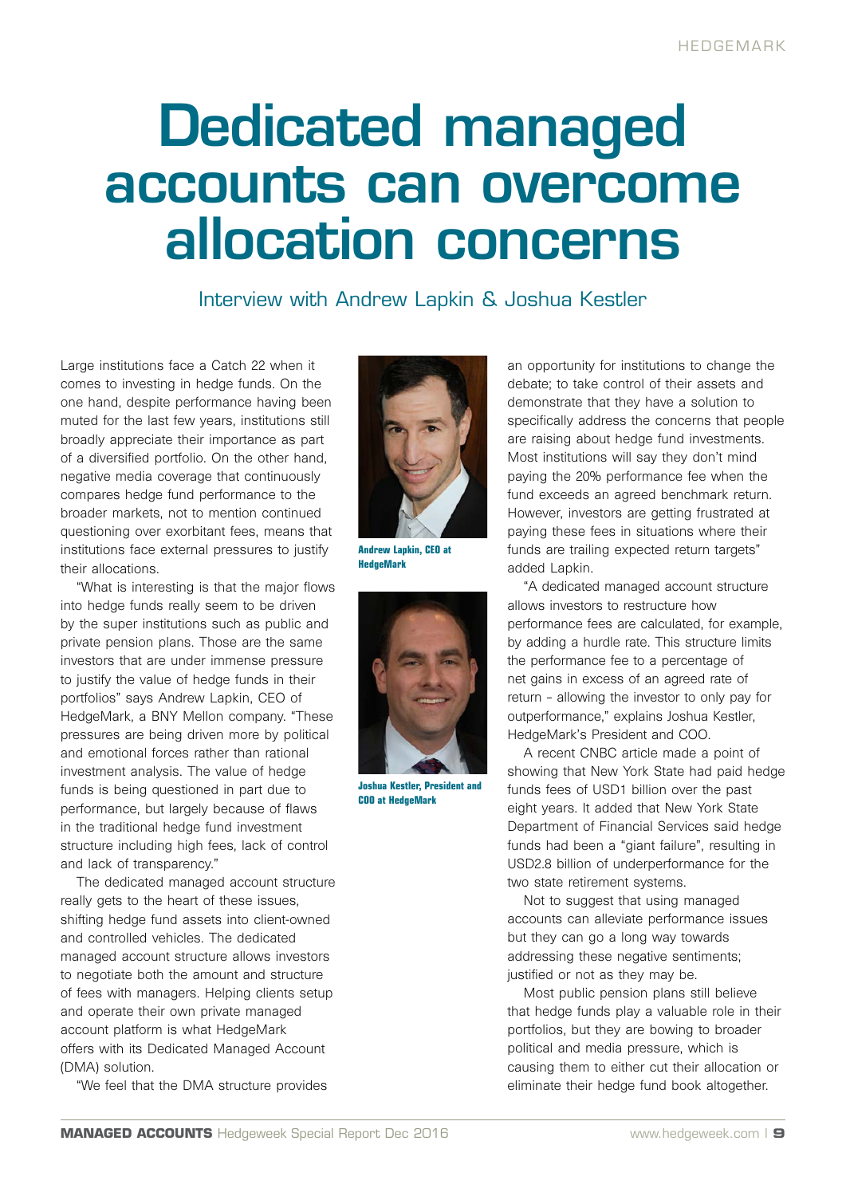## Dedicated managed accounts can overcome allocation concerns

Interview with Andrew Lapkin & Joshua Kestler

Large institutions face a Catch 22 when it comes to investing in hedge funds. On the one hand, despite performance having been muted for the last few years, institutions still broadly appreciate their importance as part of a diversified portfolio. On the other hand, negative media coverage that continuously compares hedge fund performance to the broader markets, not to mention continued questioning over exorbitant fees, means that institutions face external pressures to justify their allocations.

"What is interesting is that the major flows into hedge funds really seem to be driven by the super institutions such as public and private pension plans. Those are the same investors that are under immense pressure to justify the value of hedge funds in their portfolios" says Andrew Lapkin, CEO of HedgeMark, a BNY Mellon company. "These pressures are being driven more by political and emotional forces rather than rational investment analysis. The value of hedge funds is being questioned in part due to performance, but largely because of flaws in the traditional hedge fund investment structure including high fees, lack of control and lack of transparency."

The dedicated managed account structure really gets to the heart of these issues, shifting hedge fund assets into client-owned and controlled vehicles. The dedicated managed account structure allows investors to negotiate both the amount and structure of fees with managers. Helping clients setup and operate their own private managed account platform is what HedgeMark offers with its Dedicated Managed Account (DMA) solution.

"We feel that the DMA structure provides



**Andrew Lapkin, CEO at HedgeMark**



**Joshua Kestler, President and COO at HedgeMark**

an opportunity for institutions to change the debate; to take control of their assets and demonstrate that they have a solution to specifically address the concerns that people are raising about hedge fund investments. Most institutions will say they don't mind paying the 20% performance fee when the fund exceeds an agreed benchmark return. However, investors are getting frustrated at paying these fees in situations where their funds are trailing expected return targets" added Lapkin.

"A dedicated managed account structure allows investors to restructure how performance fees are calculated, for example, by adding a hurdle rate. This structure limits the performance fee to a percentage of net gains in excess of an agreed rate of return – allowing the investor to only pay for outperformance," explains Joshua Kestler, HedgeMark's President and COO.

A recent CNBC article made a point of showing that New York State had paid hedge funds fees of USD1 billion over the past eight years. It added that New York State Department of Financial Services said hedge funds had been a "giant failure", resulting in USD2.8 billion of underperformance for the two state retirement systems.

Not to suggest that using managed accounts can alleviate performance issues but they can go a long way towards addressing these negative sentiments; justified or not as they may be.

Most public pension plans still believe that hedge funds play a valuable role in their portfolios, but they are bowing to broader political and media pressure, which is causing them to either cut their allocation or eliminate their hedge fund book altogether.